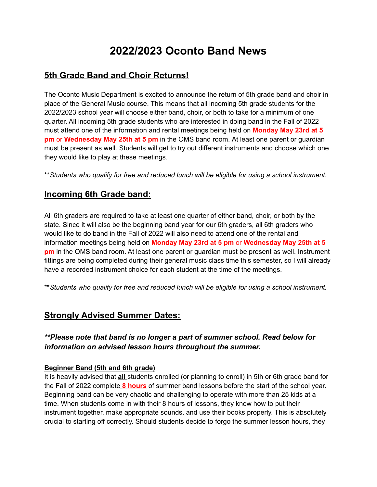# **2022/2023 Oconto Band News**

# **5th Grade Band and Choir Returns!**

The Oconto Music Department is excited to announce the return of 5th grade band and choir in place of the General Music course. This means that all incoming 5th grade students for the 2022/2023 school year will choose either band, choir, or both to take for a minimum of one quarter. All incoming 5th grade students who are interested in doing band in the Fall of 2022 must attend one of the information and rental meetings being held on **Monday May 23rd at 5 pm** or **Wednesday May 25th at 5 pm** in the OMS band room. At least one parent or guardian must be present as well. Students will get to try out different instruments and choose which one they would like to play at these meetings.

\*\**Students who qualify for free and reduced lunch will be eligible for using a school instrument.*

## **Incoming 6th Grade band:**

All 6th graders are required to take at least one quarter of either band, choir, or both by the state. Since it will also be the beginning band year for our 6th graders, all 6th graders who would like to do band in the Fall of 2022 will also need to attend one of the rental and information meetings being held on **Monday May 23rd at 5 pm** or **Wednesday May 25th at 5 pm** in the OMS band room. At least one parent or guardian must be present as well. Instrument fittings are being completed during their general music class time this semester, so I will already have a recorded instrument choice for each student at the time of the meetings.

\*\**Students who qualify for free and reduced lunch will be eligible for using a school instrument.*

## **Strongly Advised Summer Dates:**

### *\*\*Please note that band is no longer a part of summer school. Read below for information on advised lesson hours throughout the summer.*

#### **Beginner Band (5th and 6th grade)**

It is heavily advised that **all** students enrolled (or planning to enroll) in 5th or 6th grade band for the Fall of 2022 complete **8 hours** of summer band lessons before the start of the school year. Beginning band can be very chaotic and challenging to operate with more than 25 kids at a time. When students come in with their 8 hours of lessons, they know how to put their instrument together, make appropriate sounds, and use their books properly. This is absolutely crucial to starting off correctly. Should students decide to forgo the summer lesson hours, they